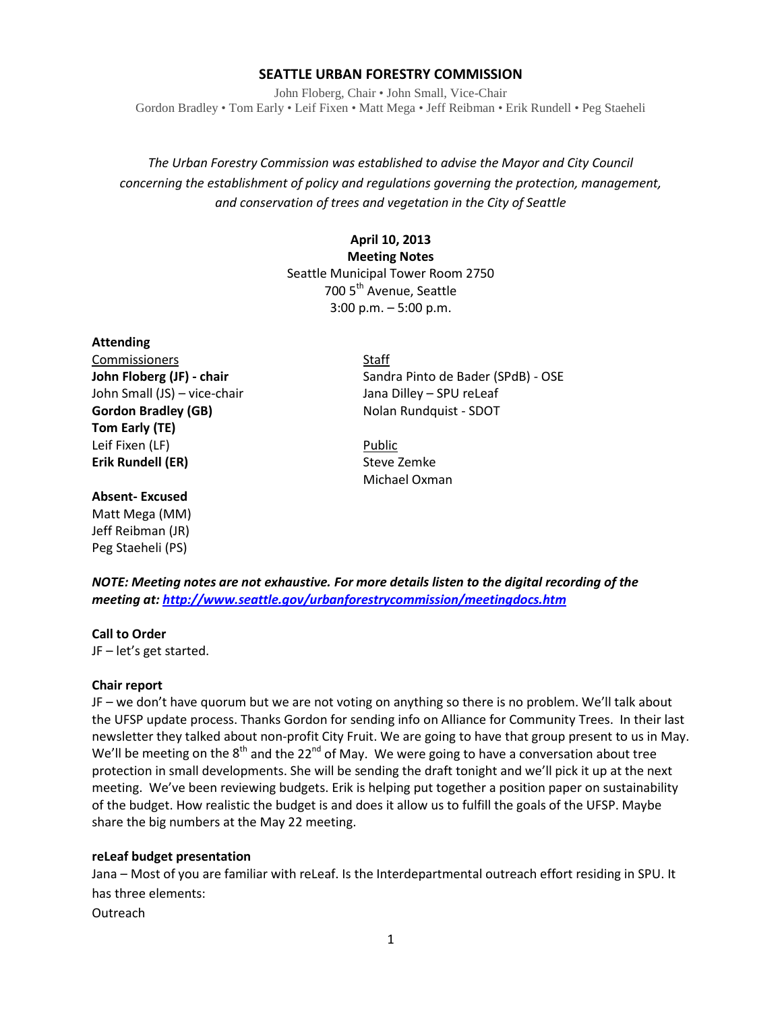## **SEATTLE URBAN FORESTRY COMMISSION**

John Floberg, Chair • John Small, Vice-Chair Gordon Bradley • Tom Early • Leif Fixen • Matt Mega • Jeff Reibman • Erik Rundell • Peg Staeheli

*The Urban Forestry Commission was established to advise the Mayor and City Council concerning the establishment of policy and regulations governing the protection, management, and conservation of trees and vegetation in the City of Seattle*

# **April 10, 2013 Meeting Notes** Seattle Municipal Tower Room 2750 700 5<sup>th</sup> Avenue, Seattle 3:00 p.m. – 5:00 p.m.

#### **Attending**

Commissioners Staff John Small (JS) – vice-chair Jana Dilley – SPU reLeaf **Gordon Bradley (GB)** Nolan Rundquist - SDOT **Tom Early (TE)** Leif Fixen (LF) Public **Erik Rundell (ER)** Steve Zemke

#### **Absent- Excused**

Matt Mega (MM) Jeff Reibman (JR) Peg Staeheli (PS)

**John Floberg (JF) - chair** Sandra Pinto de Bader (SPdB) - OSE

Michael Oxman

*NOTE: Meeting notes are not exhaustive. For more details listen to the digital recording of the meeting at[: http://www.seattle.gov/urbanforestrycommission/meetingdocs.htm](http://www.seattle.gov/urbanforestrycommission/meetingdocs.htm)*

#### **Call to Order**

JF – let's get started.

## **Chair report**

JF – we don't have quorum but we are not voting on anything so there is no problem. We'll talk about the UFSP update process. Thanks Gordon for sending info on Alliance for Community Trees. In their last newsletter they talked about non-profit City Fruit. We are going to have that group present to us in May. We'll be meeting on the  $8<sup>th</sup>$  and the 22<sup>nd</sup> of May. We were going to have a conversation about tree protection in small developments. She will be sending the draft tonight and we'll pick it up at the next meeting. We've been reviewing budgets. Erik is helping put together a position paper on sustainability of the budget. How realistic the budget is and does it allow us to fulfill the goals of the UFSP. Maybe share the big numbers at the May 22 meeting.

## **reLeaf budget presentation**

Jana – Most of you are familiar with reLeaf. Is the Interdepartmental outreach effort residing in SPU. It has three elements:

**Outreach**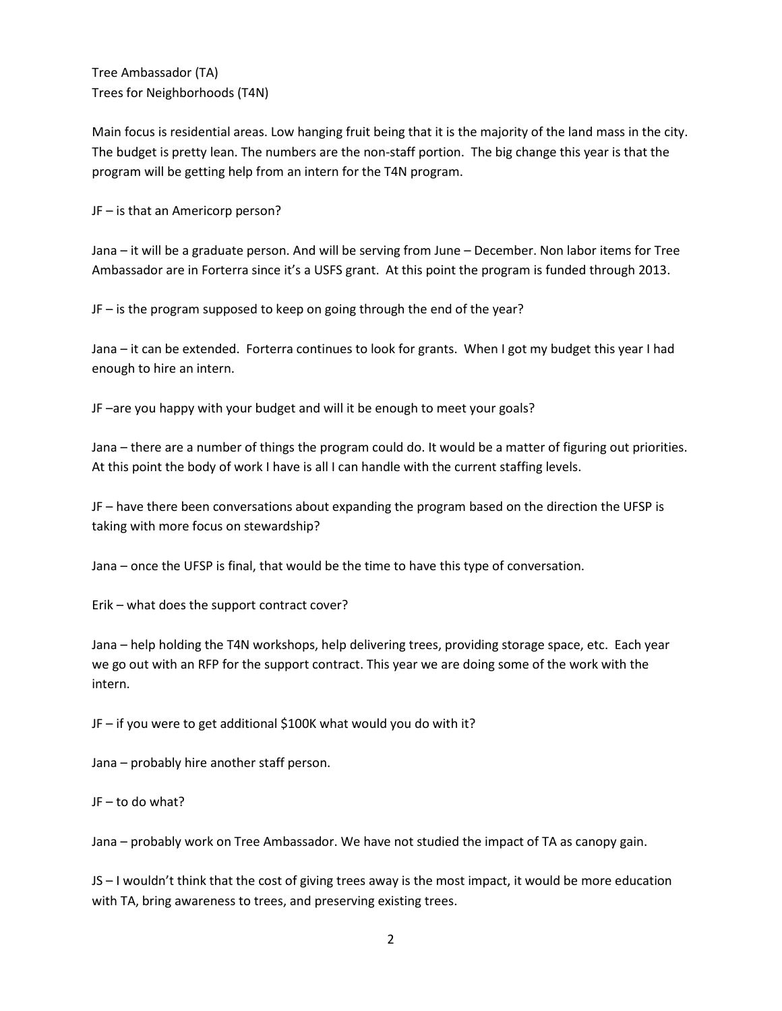Tree Ambassador (TA) Trees for Neighborhoods (T4N)

Main focus is residential areas. Low hanging fruit being that it is the majority of the land mass in the city. The budget is pretty lean. The numbers are the non-staff portion. The big change this year is that the program will be getting help from an intern for the T4N program.

JF – is that an Americorp person?

Jana – it will be a graduate person. And will be serving from June – December. Non labor items for Tree Ambassador are in Forterra since it's a USFS grant. At this point the program is funded through 2013.

JF – is the program supposed to keep on going through the end of the year?

Jana – it can be extended. Forterra continues to look for grants. When I got my budget this year I had enough to hire an intern.

JF –are you happy with your budget and will it be enough to meet your goals?

Jana – there are a number of things the program could do. It would be a matter of figuring out priorities. At this point the body of work I have is all I can handle with the current staffing levels.

JF – have there been conversations about expanding the program based on the direction the UFSP is taking with more focus on stewardship?

Jana – once the UFSP is final, that would be the time to have this type of conversation.

Erik – what does the support contract cover?

Jana – help holding the T4N workshops, help delivering trees, providing storage space, etc. Each year we go out with an RFP for the support contract. This year we are doing some of the work with the intern.

JF – if you were to get additional \$100K what would you do with it?

Jana – probably hire another staff person.

JF – to do what?

Jana – probably work on Tree Ambassador. We have not studied the impact of TA as canopy gain.

JS – I wouldn't think that the cost of giving trees away is the most impact, it would be more education with TA, bring awareness to trees, and preserving existing trees.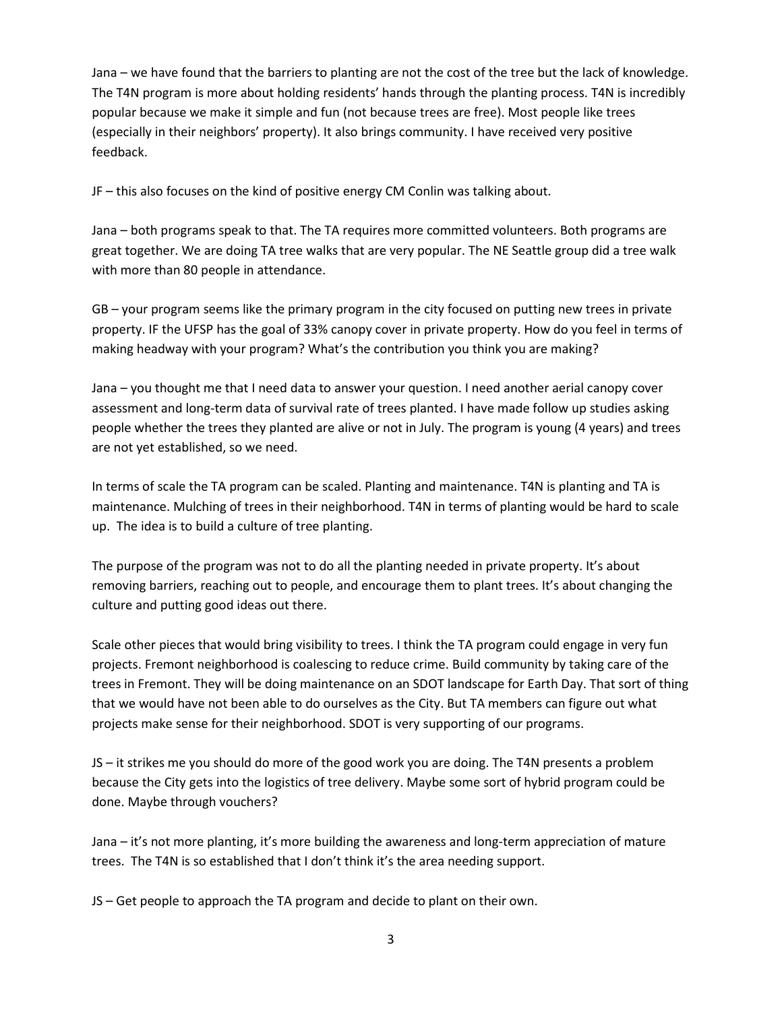Jana – we have found that the barriers to planting are not the cost of the tree but the lack of knowledge. The T4N program is more about holding residents' hands through the planting process. T4N is incredibly popular because we make it simple and fun (not because trees are free). Most people like trees (especially in their neighbors' property). It also brings community. I have received very positive feedback.

JF – this also focuses on the kind of positive energy CM Conlin was talking about.

Jana – both programs speak to that. The TA requires more committed volunteers. Both programs are great together. We are doing TA tree walks that are very popular. The NE Seattle group did a tree walk with more than 80 people in attendance.

GB – your program seems like the primary program in the city focused on putting new trees in private property. IF the UFSP has the goal of 33% canopy cover in private property. How do you feel in terms of making headway with your program? What's the contribution you think you are making?

Jana – you thought me that I need data to answer your question. I need another aerial canopy cover assessment and long-term data of survival rate of trees planted. I have made follow up studies asking people whether the trees they planted are alive or not in July. The program is young (4 years) and trees are not yet established, so we need.

In terms of scale the TA program can be scaled. Planting and maintenance. T4N is planting and TA is maintenance. Mulching of trees in their neighborhood. T4N in terms of planting would be hard to scale up. The idea is to build a culture of tree planting.

The purpose of the program was not to do all the planting needed in private property. It's about removing barriers, reaching out to people, and encourage them to plant trees. It's about changing the culture and putting good ideas out there.

Scale other pieces that would bring visibility to trees. I think the TA program could engage in very fun projects. Fremont neighborhood is coalescing to reduce crime. Build community by taking care of the trees in Fremont. They will be doing maintenance on an SDOT landscape for Earth Day. That sort of thing that we would have not been able to do ourselves as the City. But TA members can figure out what projects make sense for their neighborhood. SDOT is very supporting of our programs.

JS – it strikes me you should do more of the good work you are doing. The T4N presents a problem because the City gets into the logistics of tree delivery. Maybe some sort of hybrid program could be done. Maybe through vouchers?

Jana – it's not more planting, it's more building the awareness and long-term appreciation of mature trees. The T4N is so established that I don't think it's the area needing support.

JS – Get people to approach the TA program and decide to plant on their own.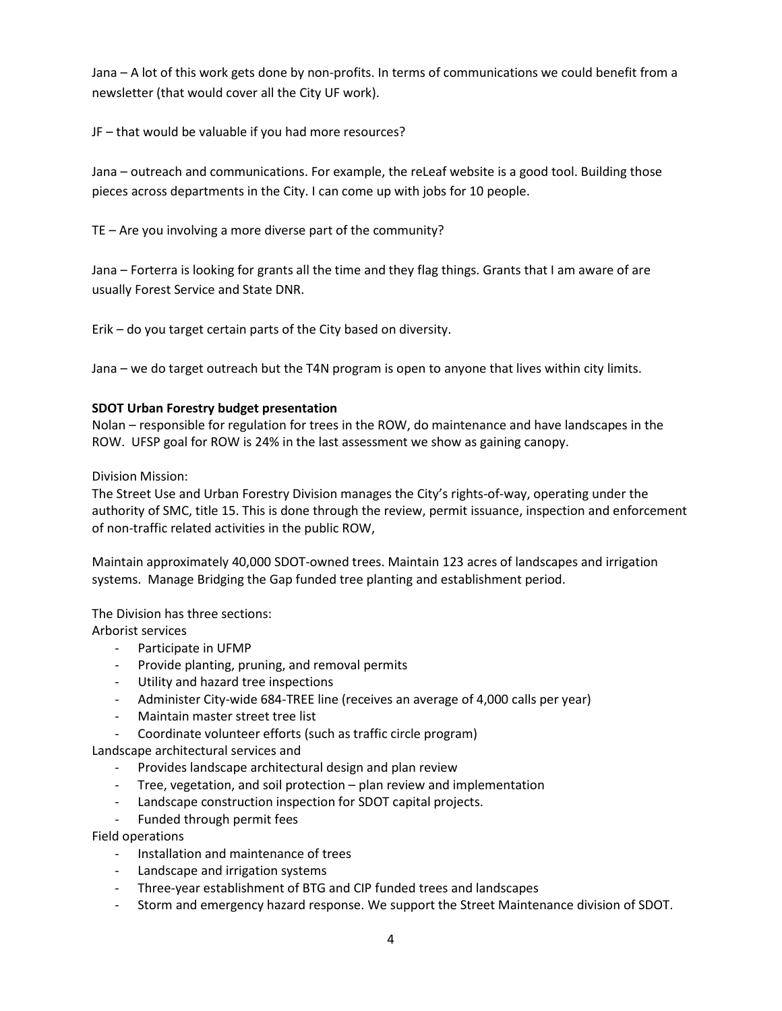Jana – A lot of this work gets done by non-profits. In terms of communications we could benefit from a newsletter (that would cover all the City UF work).

JF – that would be valuable if you had more resources?

Jana – outreach and communications. For example, the reLeaf website is a good tool. Building those pieces across departments in the City. I can come up with jobs for 10 people.

TE – Are you involving a more diverse part of the community?

Jana – Forterra is looking for grants all the time and they flag things. Grants that I am aware of are usually Forest Service and State DNR.

Erik – do you target certain parts of the City based on diversity.

Jana – we do target outreach but the T4N program is open to anyone that lives within city limits.

## **SDOT Urban Forestry budget presentation**

Nolan – responsible for regulation for trees in the ROW, do maintenance and have landscapes in the ROW. UFSP goal for ROW is 24% in the last assessment we show as gaining canopy.

Division Mission:

The Street Use and Urban Forestry Division manages the City's rights-of-way, operating under the authority of SMC, title 15. This is done through the review, permit issuance, inspection and enforcement of non-traffic related activities in the public ROW,

Maintain approximately 40,000 SDOT-owned trees. Maintain 123 acres of landscapes and irrigation systems. Manage Bridging the Gap funded tree planting and establishment period.

The Division has three sections:

Arborist services

- Participate in UFMP
- Provide planting, pruning, and removal permits
- Utility and hazard tree inspections
- Administer City-wide 684-TREE line (receives an average of 4,000 calls per year)
- Maintain master street tree list
- Coordinate volunteer efforts (such as traffic circle program)

Landscape architectural services and

- Provides landscape architectural design and plan review
- Tree, vegetation, and soil protection plan review and implementation
- Landscape construction inspection for SDOT capital projects.
- Funded through permit fees

Field operations

- Installation and maintenance of trees
- Landscape and irrigation systems
- Three-year establishment of BTG and CIP funded trees and landscapes
- Storm and emergency hazard response. We support the Street Maintenance division of SDOT.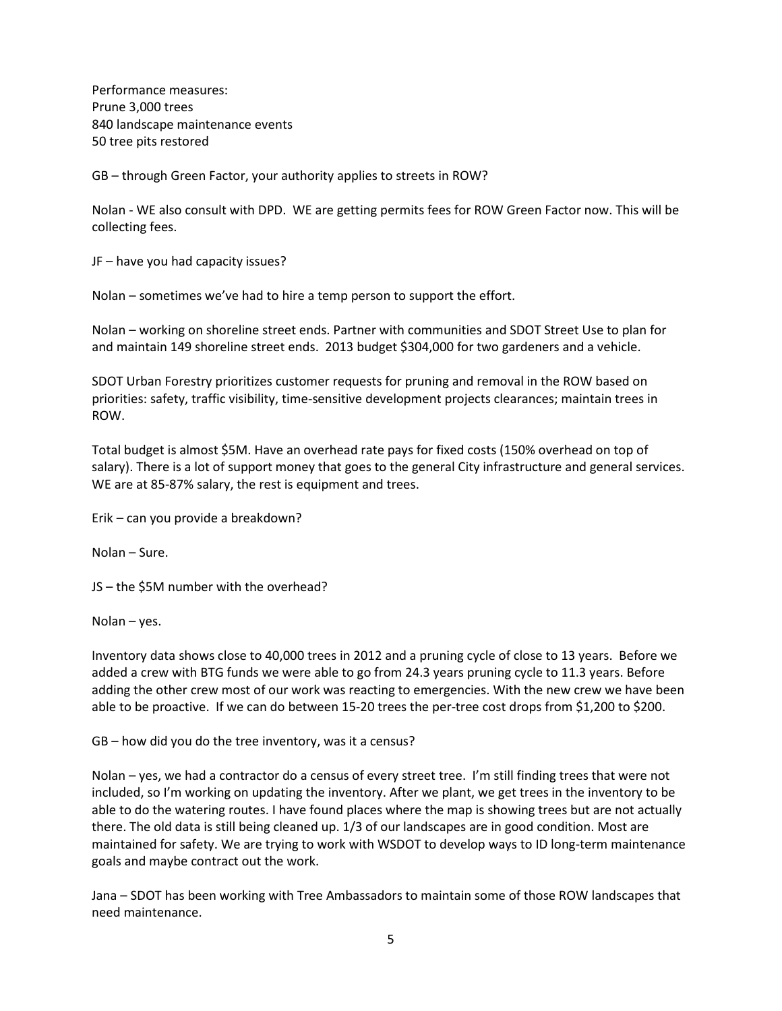Performance measures: Prune 3,000 trees 840 landscape maintenance events 50 tree pits restored

GB – through Green Factor, your authority applies to streets in ROW?

Nolan - WE also consult with DPD. WE are getting permits fees for ROW Green Factor now. This will be collecting fees.

JF – have you had capacity issues?

Nolan – sometimes we've had to hire a temp person to support the effort.

Nolan – working on shoreline street ends. Partner with communities and SDOT Street Use to plan for and maintain 149 shoreline street ends. 2013 budget \$304,000 for two gardeners and a vehicle.

SDOT Urban Forestry prioritizes customer requests for pruning and removal in the ROW based on priorities: safety, traffic visibility, time-sensitive development projects clearances; maintain trees in ROW.

Total budget is almost \$5M. Have an overhead rate pays for fixed costs (150% overhead on top of salary). There is a lot of support money that goes to the general City infrastructure and general services. WE are at 85-87% salary, the rest is equipment and trees.

Erik – can you provide a breakdown?

Nolan – Sure.

JS – the \$5M number with the overhead?

Nolan – yes.

Inventory data shows close to 40,000 trees in 2012 and a pruning cycle of close to 13 years. Before we added a crew with BTG funds we were able to go from 24.3 years pruning cycle to 11.3 years. Before adding the other crew most of our work was reacting to emergencies. With the new crew we have been able to be proactive. If we can do between 15-20 trees the per-tree cost drops from \$1,200 to \$200.

GB – how did you do the tree inventory, was it a census?

Nolan – yes, we had a contractor do a census of every street tree. I'm still finding trees that were not included, so I'm working on updating the inventory. After we plant, we get trees in the inventory to be able to do the watering routes. I have found places where the map is showing trees but are not actually there. The old data is still being cleaned up. 1/3 of our landscapes are in good condition. Most are maintained for safety. We are trying to work with WSDOT to develop ways to ID long-term maintenance goals and maybe contract out the work.

Jana – SDOT has been working with Tree Ambassadors to maintain some of those ROW landscapes that need maintenance.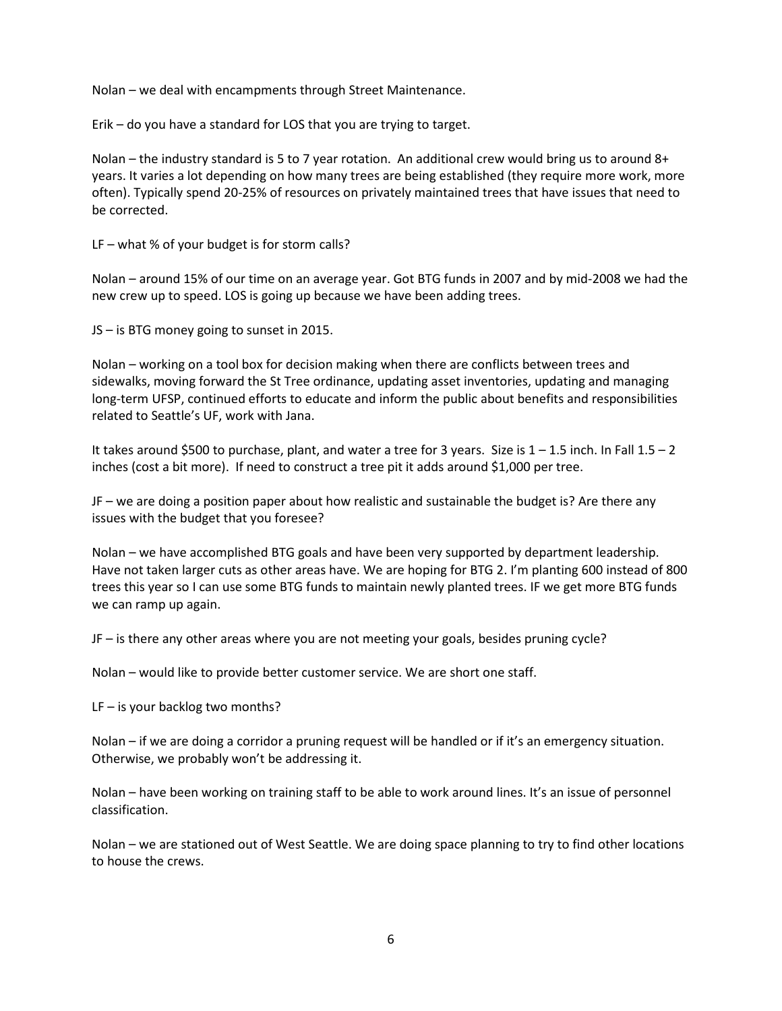Nolan – we deal with encampments through Street Maintenance.

Erik – do you have a standard for LOS that you are trying to target.

Nolan – the industry standard is 5 to 7 year rotation. An additional crew would bring us to around 8+ years. It varies a lot depending on how many trees are being established (they require more work, more often). Typically spend 20-25% of resources on privately maintained trees that have issues that need to be corrected.

LF – what % of your budget is for storm calls?

Nolan – around 15% of our time on an average year. Got BTG funds in 2007 and by mid-2008 we had the new crew up to speed. LOS is going up because we have been adding trees.

JS – is BTG money going to sunset in 2015.

Nolan – working on a tool box for decision making when there are conflicts between trees and sidewalks, moving forward the St Tree ordinance, updating asset inventories, updating and managing long-term UFSP, continued efforts to educate and inform the public about benefits and responsibilities related to Seattle's UF, work with Jana.

It takes around \$500 to purchase, plant, and water a tree for 3 years. Size is 1 – 1.5 inch. In Fall 1.5 – 2 inches (cost a bit more). If need to construct a tree pit it adds around \$1,000 per tree.

JF – we are doing a position paper about how realistic and sustainable the budget is? Are there any issues with the budget that you foresee?

Nolan – we have accomplished BTG goals and have been very supported by department leadership. Have not taken larger cuts as other areas have. We are hoping for BTG 2. I'm planting 600 instead of 800 trees this year so I can use some BTG funds to maintain newly planted trees. IF we get more BTG funds we can ramp up again.

JF – is there any other areas where you are not meeting your goals, besides pruning cycle?

Nolan – would like to provide better customer service. We are short one staff.

 $LF - is$  your backlog two months?

Nolan – if we are doing a corridor a pruning request will be handled or if it's an emergency situation. Otherwise, we probably won't be addressing it.

Nolan – have been working on training staff to be able to work around lines. It's an issue of personnel classification.

Nolan – we are stationed out of West Seattle. We are doing space planning to try to find other locations to house the crews.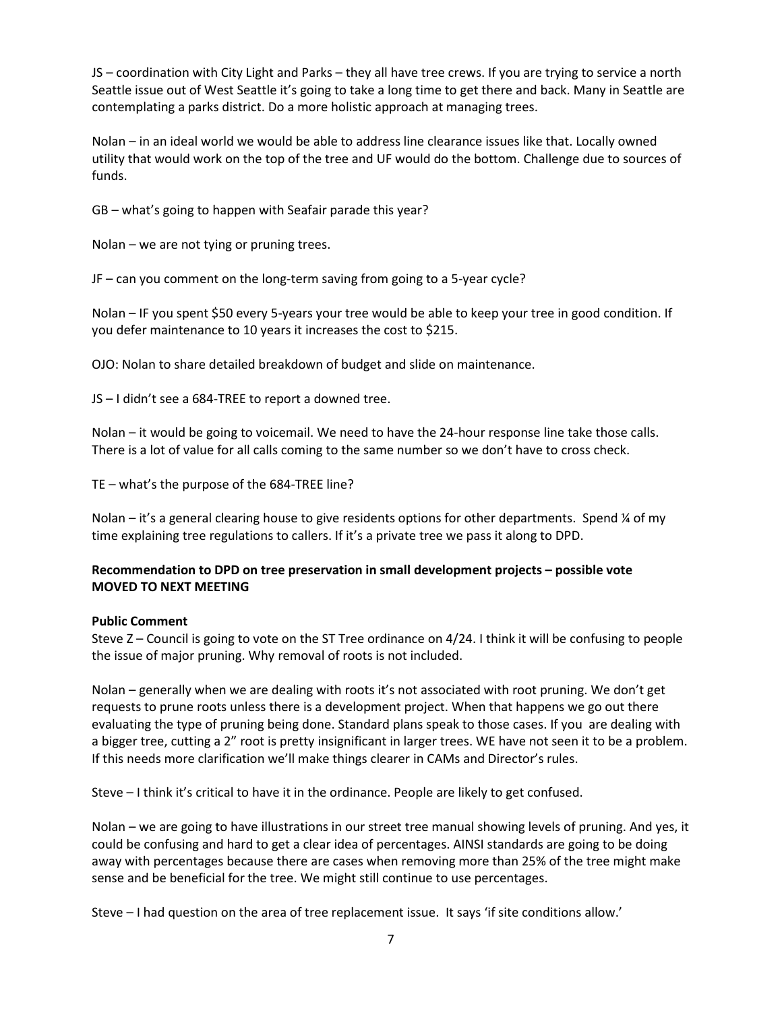JS – coordination with City Light and Parks – they all have tree crews. If you are trying to service a north Seattle issue out of West Seattle it's going to take a long time to get there and back. Many in Seattle are contemplating a parks district. Do a more holistic approach at managing trees.

Nolan – in an ideal world we would be able to address line clearance issues like that. Locally owned utility that would work on the top of the tree and UF would do the bottom. Challenge due to sources of funds.

GB – what's going to happen with Seafair parade this year?

Nolan – we are not tying or pruning trees.

JF – can you comment on the long-term saving from going to a 5-year cycle?

Nolan – IF you spent \$50 every 5-years your tree would be able to keep your tree in good condition. If you defer maintenance to 10 years it increases the cost to \$215.

OJO: Nolan to share detailed breakdown of budget and slide on maintenance.

JS – I didn't see a 684-TREE to report a downed tree.

Nolan – it would be going to voicemail. We need to have the 24-hour response line take those calls. There is a lot of value for all calls coming to the same number so we don't have to cross check.

TE – what's the purpose of the 684-TREE line?

Nolan – it's a general clearing house to give residents options for other departments. Spend ¼ of my time explaining tree regulations to callers. If it's a private tree we pass it along to DPD.

# **Recommendation to DPD on tree preservation in small development projects – possible vote MOVED TO NEXT MEETING**

#### **Public Comment**

Steve Z – Council is going to vote on the ST Tree ordinance on 4/24. I think it will be confusing to people the issue of major pruning. Why removal of roots is not included.

Nolan – generally when we are dealing with roots it's not associated with root pruning. We don't get requests to prune roots unless there is a development project. When that happens we go out there evaluating the type of pruning being done. Standard plans speak to those cases. If you are dealing with a bigger tree, cutting a 2" root is pretty insignificant in larger trees. WE have not seen it to be a problem. If this needs more clarification we'll make things clearer in CAMs and Director's rules.

Steve – I think it's critical to have it in the ordinance. People are likely to get confused.

Nolan – we are going to have illustrations in our street tree manual showing levels of pruning. And yes, it could be confusing and hard to get a clear idea of percentages. AINSI standards are going to be doing away with percentages because there are cases when removing more than 25% of the tree might make sense and be beneficial for the tree. We might still continue to use percentages.

Steve – I had question on the area of tree replacement issue. It says 'if site conditions allow.'